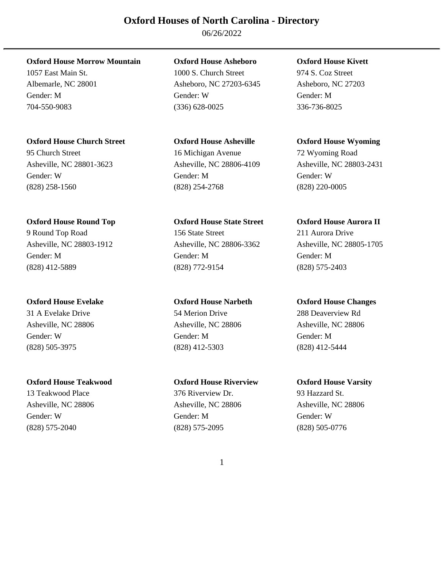06/26/2022

# **Oxford House Morrow Mountain Oxford House Asheboro Oxford House Kivett**

# **Oxford House Church Street Oxford House Asheville Oxford House Wyoming**

95 Church Street 16 Michigan Avenue 72 Wyoming Road Asheville, NC 28801-3623 Asheville, NC 28806-4109 Asheville, NC 28803-2431 Gender: W Gender: M Gender: W (828) 258-1560 (828) 254-2768 (828) 220-0005

# **Oxford House Round Top Oxford House State Street Oxford House Aurora II**

(828) 505-3975 (828) 412-5303 (828) 412-5444

# **Oxford House Teakwood Oxford House Riverview Oxford House Varsity**

13 Teakwood Place 376 Riverview Dr. 93 Hazzard St. Gender: W Gender: M Gender: W (828) 575-2040 (828) 575-2095 (828) 505-0776

1057 East Main St. 1000 S. Church Street 974 S. Coz Street Albemarle, NC 28001 Asheboro, NC 27203-6345 Asheboro, NC 27203 Gender: M Gender: W Gender: M 704-550-9083 (336) 628-0025 336-736-8025

9 Round Top Road 156 State Street 211 Aurora Drive Asheville, NC 28803-1912 Asheville, NC 28806-3362 Asheville, NC 28805-1705 Gender: M Gender: M Gender: M (828) 412-5889 (828) 772-9154 (828) 575-2403

# 31 A Evelake Drive 54 Merion Drive 288 Deaverview Rd Asheville, NC 28806 Asheville, NC 28806 Asheville, NC 28806 Gender: W Gender: M Gender: M

Asheville, NC 28806 Asheville, NC 28806 Asheville, NC 28806

# **Oxford House Evelake Oxford House Narbeth Oxford House Changes**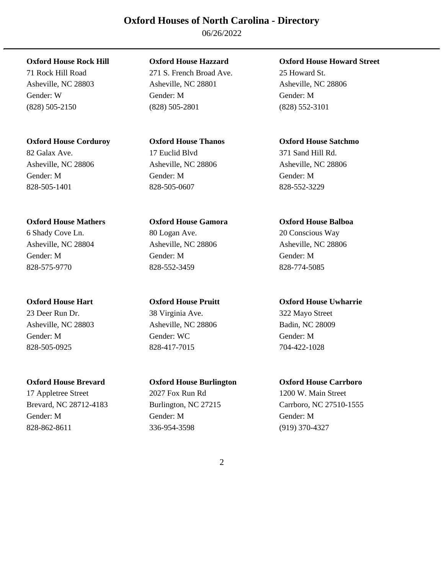06/26/2022

# **Oxford House Corduroy Oxford House Thanos Oxford House Satchmo**

828-505-1401 828-505-0607 828-552-3229

# **Oxford House Mathers Oxford House Gamora Oxford House Balboa**

23 Deer Run Dr. 38 Virginia Ave. 322 Mayo Street Asheville, NC 28803 Asheville, NC 28806 Badin, NC 28009 Gender: M Gender: WC Gender: M 828-505-0925 828-417-7015 704-422-1028

17 Appletree Street 2027 Fox Run Rd 1200 W. Main Street Gender: M Gender: M Gender: M 828-862-8611 336-954-3598 (919) 370-4327

71 Rock Hill Road 271 S. French Broad Ave. 25 Howard St. Asheville, NC 28803 Asheville, NC 28801 Asheville, NC 28806 Gender: W Gender: M Gender: M (828) 505-2150 (828) 505-2801 (828) 552-3101

# 82 Galax Ave. 17 Euclid Blvd 371 Sand Hill Rd. Asheville, NC 28806 Asheville, NC 28806 Asheville, NC 28806 Gender: M Gender: M Gender: M

6 Shady Cove Ln. 80 Logan Ave. 20 Conscious Way Asheville, NC 28804 Asheville, NC 28806 Asheville, NC 28806 Gender: M Gender: M Gender: M 828-575-9770 828-552-3459 828-774-5085

# **Oxford House Rock Hill Oxford House Hazzard Oxford House Howard Street**

# **Oxford House Hart Oxford House Pruitt Oxford House Uwharrie**

# **Oxford House Brevard Oxford House Burlington Oxford House Carrboro**

Brevard, NC 28712-4183 Burlington, NC 27215 Carrboro, NC 27510-1555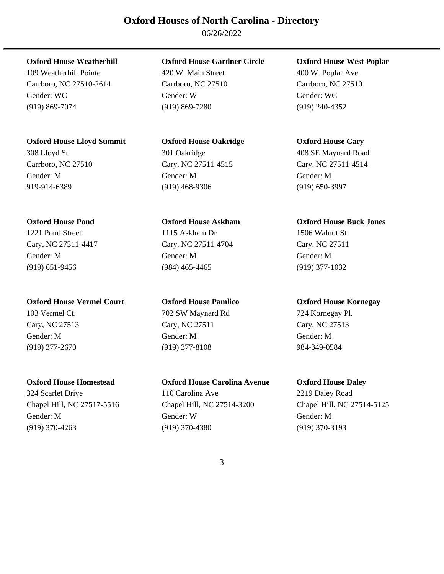06/26/2022

Carrboro, NC 27510-2614 Carrboro, NC 27510 Carrboro, NC 27510 Gender: WC Gender: W Gender: WC (919) 869-7074 (919) 869-7280 (919) 240-4352

# **Oxford House Lloyd Summit Oxford House Oakridge Oxford House Cary**

Carrboro, NC 27510 Cary, NC 27511-4515 Cary, NC 27511-4514 Gender: M Gender: M Gender: M 919-914-6389 (919) 468-9306 (919) 650-3997

**Oxford House Vermel Court Oxford House Pamlico Oxford House Kornegay**  103 Vermel Ct. 702 SW Maynard Rd 724 Kornegay Pl. Cary, NC 27513 Cary, NC 27511 Cary, NC 27513 Gender: M Gender: M Gender: M (919) 377-2670 (919) 377-8108 984-349-0584

# **Oxford House Weatherhill Oxford House Gardner Circle Oxford House West Poplar**

109 Weatherhill Pointe 420 W. Main Street 400 W. Poplar Ave.

# 308 Lloyd St. 301 Oakridge 408 SE Maynard Road

1221 Pond Street 1115 Askham Dr 1506 Walnut St Cary, NC 27511-4417 Cary, NC 27511-4704 Cary, NC 27511 Gender: M Gender: M Gender: M (919) 651-9456 (984) 465-4465 (919) 377-1032

# **Oxford House Homestead Oxford House Carolina Avenue Oxford House Daley**

324 Scarlet Drive 110 Carolina Ave 2219 Daley Road Chapel Hill, NC 27517-5516 Chapel Hill, NC 27514-3200 Chapel Hill, NC 27514-5125 Gender: M Gender: W Gender: M (919) 370-4263 (919) 370-4380 (919) 370-3193

# **Oxford House Pond Oxford House Askham Oxford House Buck Jones**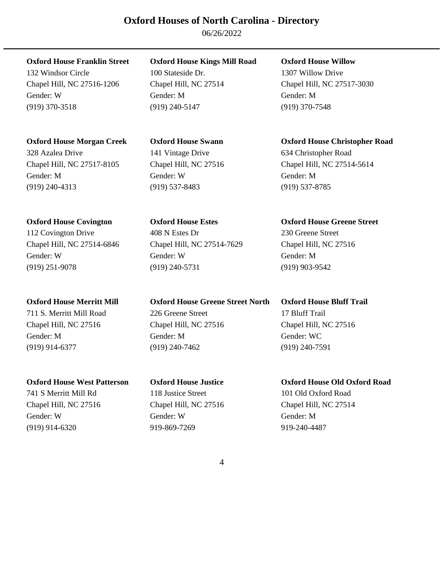06/26/2022

Chapel Hill, NC 27516-1206 Chapel Hill, NC 27514 Chapel Hill, NC 27517-3030 Gender: W Gender: M Gender: M (919) 370-3518 (919) 240-5147 (919) 370-7548

328 Azalea Drive 141 Vintage Drive 634 Christopher Road Chapel Hill, NC 27517-8105 Chapel Hill, NC 27516 Chapel Hill, NC 27514-5614 Gender: M Gender: W Gender: M (919) 240-4313 (919) 537-8483 (919) 537-8785

112 Covington Drive 408 N Estes Dr 230 Greene Street Chapel Hill, NC 27514-6846 Chapel Hill, NC 27514-7629 Chapel Hill, NC 27516 Gender: W Gender: W Gender: M (919) 251-9078 (919) 240-5731 (919) 903-9542

Gender: M Gender: M Gender: WC (919) 914-6377 (919) 240-7462 (919) 240-7591

741 S Merritt Mill Rd 118 Justice Street 101 Old Oxford Road Chapel Hill, NC 27516 Chapel Hill, NC 27516 Chapel Hill, NC 27514 Gender: W Gender: W Gender: M (919) 914-6320 919-869-7269 919-240-4487

# **Oxford House Franklin Street Oxford House Kings Mill Road Oxford House Willow**

132 Windsor Circle 100 Stateside Dr. 1307 Willow Drive

**Oxford House Merritt Mill Oxford House Greene Street North Oxford House Bluff Trail**  711 S. Merritt Mill Road 226 Greene Street 17 Bluff Trail Chapel Hill, NC 27516 Chapel Hill, NC 27516 Chapel Hill, NC 27516

# **Oxford House Morgan Creek Oxford House Swann Oxford House Christopher Road**

# **Oxford House Covington Oxford House Estes Oxford House Greene Street**

# **Oxford House West Patterson Oxford House Justice Oxford House Old Oxford Road**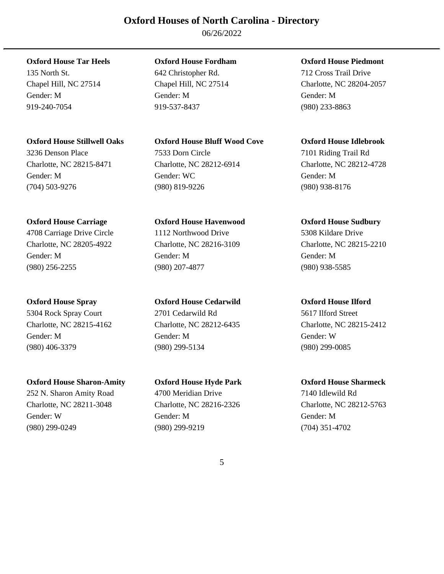06/26/2022

Gender: M Gender: M Gender: M 919-240-7054 919-537-8437 (980) 233-8863

# **Oxford House Stillwell Oaks Oxford House Bluff Wood Cove Oxford House Idlebrook**

Charlotte, NC 28215-8471 Charlotte, NC 28212-6914 Charlotte, NC 28212-4728 Gender: M Gender: WC Gender: M (704) 503-9276 (980) 819-9226 (980) 938-8176

# **Oxford House Carriage Oxford House Havenwood Oxford House Sudbury**

(980) 256-2255 (980) 207-4877 (980) 938-5585

Gender: M Gender: M Gender: W (980) 406-3379 (980) 299-5134 (980) 299-0085

# **Oxford House Sharon-Amity Oxford House Hyde Park Oxford House Sharmeck**

# 3236 Denson Place 7533 Dorn Circle 7101 Riding Trail Rd

# 4708 Carriage Drive Circle 1112 Northwood Drive 5308 Kildare Drive Charlotte, NC 28205-4922 Charlotte, NC 28216-3109 Charlotte, NC 28215-2210 Gender: M Gender: M Gender: M

**Oxford House Spray Oxford House Cedarwild Oxford House Ilford**  5304 Rock Spray Court 2701 Cedarwild Rd 5617 Ilford Street Charlotte, NC 28215-4162 Charlotte, NC 28212-6435 Charlotte, NC 28215-2412

# 252 N. Sharon Amity Road 4700 Meridian Drive 7140 Idlewild Rd Charlotte, NC 28211-3048 Charlotte, NC 28216-2326 Charlotte, NC 28212-5763 Gender: W Gender: M Gender: M (980) 299-0249 (980) 299-9219 (704) 351-4702

# **Oxford House Tar Heels Oxford House Fordham Oxford House Piedmont**

135 North St. 642 Christopher Rd. 712 Cross Trail Drive Chapel Hill, NC 27514 Chapel Hill, NC 27514 Charlotte, NC 28204-2057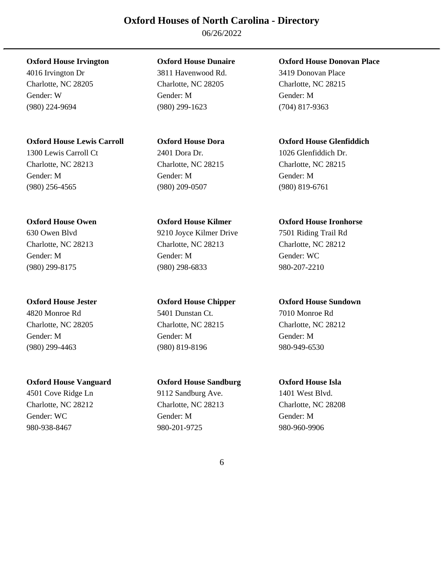06/26/2022

# **Oxford House Lewis Carroll Oxford House Dora Oxford House Glenfiddich**

1300 Lewis Carroll Ct 2401 Dora Dr. 1026 Glenfiddich Dr. Charlotte, NC 28213 Charlotte, NC 28215 Charlotte, NC 28215 Gender: M Gender: M Gender: M (980) 256-4565 (980) 209-0507 (980) 819-6761

4501 Cove Ridge Ln 9112 Sandburg Ave. 1401 West Blvd. Charlotte, NC 28212 Charlotte, NC 28213 Charlotte, NC 28208 Gender: WC Gender: M Gender: M Gender: M Gender: M 980-938-8467 980-201-9725 980-960-9906

4016 Irvington Dr 3811 Havenwood Rd. 3419 Donovan Place Charlotte, NC 28205 Charlotte, NC 28205 Charlotte, NC 28215 Gender: W Gender: M Gender: M (980) 224-9694 (980) 299-1623 (704) 817-9363

630 Owen Blvd 9210 Joyce Kilmer Drive 7501 Riding Trail Rd Charlotte, NC 28213 Charlotte, NC 28213 Charlotte, NC 28212 Gender: M Gender: M Gender: WC (980) 299-8175 (980) 298-6833 980-207-2210

4820 Monroe Rd 5401 Dunstan Ct. 7010 Monroe Rd Gender: M Gender: M Gender: M (980) 299-4463 (980) 819-8196 980-949-6530

# **Oxford House Vanguard Oxford House Sandburg Oxford House Isla**

# **Oxford House Irvington Oxford House Dunaire Oxford House Donovan Place**

# **Oxford House Owen Oxford House Kilmer Oxford House Ironhorse**

# **Oxford House Jester Oxford House Chipper Oxford House Sundown**

Charlotte, NC 28205 Charlotte, NC 28215 Charlotte, NC 28212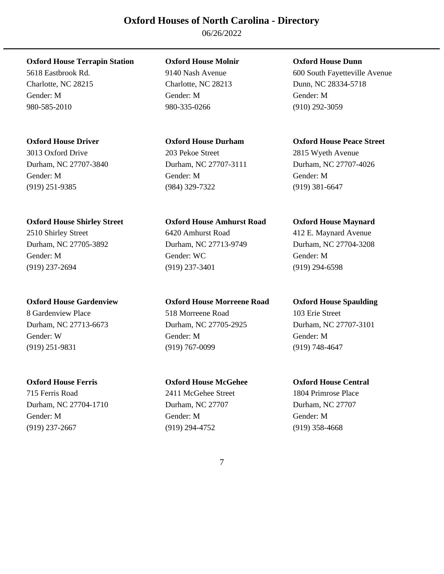06/26/2022

5618 Eastbrook Rd. 9140 Nash Avenue 600 South Fayetteville Avenue Charlotte, NC 28215 Charlotte, NC 28213 Dunn, NC 28334-5718 Gender: M Gender: M Gender: M 980-585-2010 980-335-0266 (910) 292-3059

Gender: M Gender: M Gender: M (919) 251-9385 (984) 329-7322 (919) 381-6647

# **Oxford House Shirley Street Oxford House Amhurst Road Oxford House Maynard**

2510 Shirley Street 6420 Amhurst Road 412 E. Maynard Avenue Durham, NC 27705-3892 Durham, NC 27713-9749 Durham, NC 27704-3208 Gender: M Gender: WC Gender: M (919) 237-2694 (919) 237-3401 (919) 294-6598

715 Ferris Road 2411 McGehee Street 1804 Primrose Place Durham, NC 27704-1710 Durham, NC 27707 Durham, NC 27707 Gender: M Gender: M Gender: M (919) 237-2667 (919) 294-4752 (919) 358-4668

# **Oxford House Terrapin Station Oxford House Molnir Oxford House Dunn**

# 3013 Oxford Drive 203 Pekoe Street 2815 Wyeth Avenue

# **Oxford House Gardenview Oxford House Morreene Road Oxford House Spaulding**

8 Gardenview Place 518 Morreene Road 103 Erie Street Durham, NC 27713-6673 Durham, NC 27705-2925 Durham, NC 27707-3101 Gender: W Gender: M Gender: M (919) 251-9831 (919) 767-0099 (919) 748-4647

# **Oxford House Ferris Oxford House McGehee Oxford House Central**

# **Oxford House Driver Oxford House Durham Oxford House Peace Street**

Durham, NC 27707-3840 Durham, NC 27707-3111 Durham, NC 27707-4026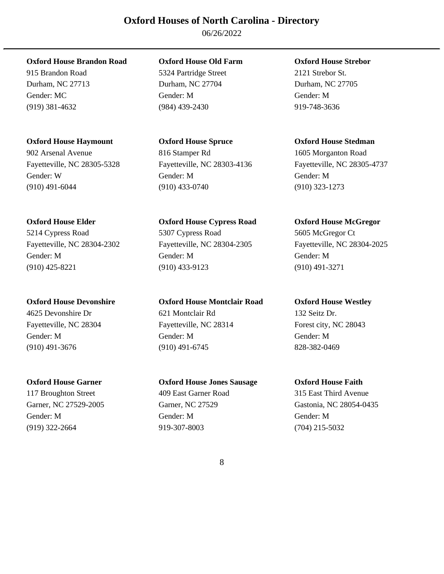06/26/2022

**Oxford House Brandon Road Oxford House Old Farm Oxford House Strebor** 

# **Oxford House Haymount Oxford House Spruce Oxford House Stedman**

902 Arsenal Avenue 816 Stamper Rd 1605 Morganton Road Fayetteville, NC 28305-5328 Fayetteville, NC 28303-4136 Fayetteville, NC 28305-4737 Gender: W Gender: M Gender: M (910) 491-6044 (910) 433-0740 (910) 323-1273

4625 Devonshire Dr 621 Montclair Rd 132 Seitz Dr.

117 Broughton Street 409 East Garner Road 315 East Third Avenue Gender: M Gender: M Gender: M (919) 322-2664 919-307-8003 (704) 215-5032

915 Brandon Road 5324 Partridge Street 2121 Strebor St. Durham, NC 27713 Durham, NC 27704 Durham, NC 27705 Gender: MC Gender: M Gender: M (919) 381-4632 (984) 439-2430 919-748-3636

**Oxford House Elder Oxford House Cypress Road Oxford House McGregor**  5214 Cypress Road 5307 Cypress Road 5605 McGregor Ct Fayetteville, NC 28304-2302 Fayetteville, NC 28304-2305 Fayetteville, NC 28304-2025 Gender: M Gender: M Gender: M (910) 425-8221 (910) 433-9123 (910) 491-3271

**Oxford House Devonshire Oxford House Montclair Road Oxford House Westley** 

Fayetteville, NC 28304 Fayetteville, NC 28314 Forest city, NC 28043 Gender: M Gender: M Gender: M (910) 491-3676 (910) 491-6745 828-382-0469

# **Oxford House Garner Oxford House Jones Sausage Oxford House Faith**

Garner, NC 27529-2005 Garner, NC 27529 Gastonia, NC 28054-0435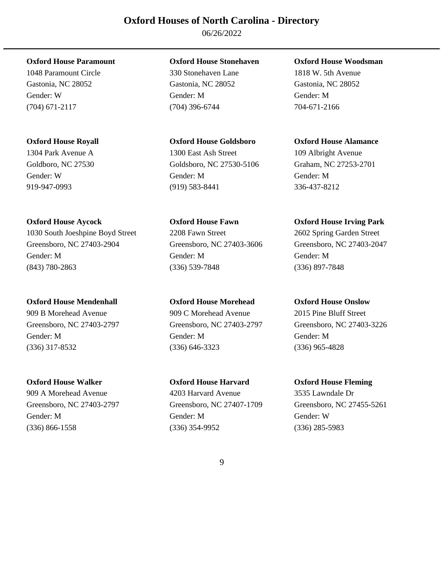06/26/2022

1030 South Joeshpine Boyd Street 2208 Fawn Street 2602 Spring Garden Street Greensboro, NC 27403-2904 Greensboro, NC 27403-3606 Greensboro, NC 27403-2047 Gender: M Gender: M Gender: M (843) 780-2863 (336) 539-7848 (336) 897-7848

# **Oxford House Mendenhall Oxford House Morehead Oxford House Onslow**

909 B Morehead Avenue 909 C Morehead Avenue 2015 Pine Bluff Street

909 A Morehead Avenue 4203 Harvard Avenue 3535 Lawndale Dr

# **Oxford House Paramount Oxford House Stonehaven Oxford House Woodsman**

1048 Paramount Circle 330 Stonehaven Lane 1818 W. 5th Avenue Gastonia, NC 28052 Gastonia, NC 28052 Gastonia, NC 28052 Gender: W Gender: M Gender: M (704) 671-2117 (704) 396-6744 704-671-2166

# 1304 Park Avenue A 1300 East Ash Street 109 Albright Avenue

Gender: W Gender: M Gender: M 919-947-0993 (919) 583-8441 336-437-8212

Greensboro, NC 27403-2797 Greensboro, NC 27403-2797 Greensboro, NC 27403-3226 Gender: M Gender: M Gender: M (336) 317-8532 (336) 646-3323 (336) 965-4828

# **Oxford House Walker Oxford House Harvard Oxford House Fleming**

Greensboro, NC 27403-2797 Greensboro, NC 27407-1709 Greensboro, NC 27455-5261 Gender: M Gender: M Gender: W (336) 866-1558 (336) 354-9952 (336) 285-5983

# **Oxford House Royall Oxford House Goldsboro Oxford House Alamance**

Goldboro, NC 27530 Goldsboro, NC 27530-5106 Graham, NC 27253-2701

# **Oxford House Aycock Oxford House Fawn Oxford House Irving Park**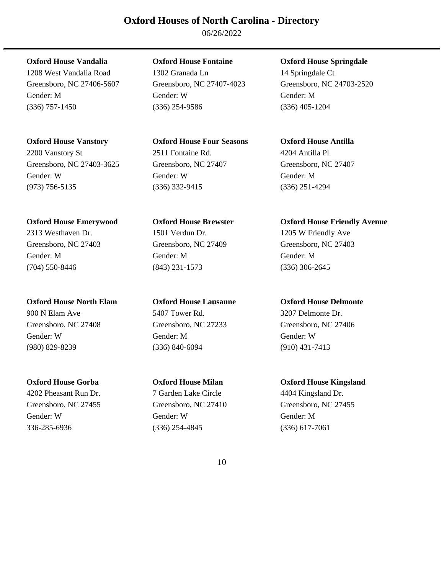06/26/2022

1208 West Vandalia Road 1302 Granada Ln 14 Springdale Ct Greensboro, NC 27406-5607 Greensboro, NC 27407-4023 Greensboro, NC 24703-2520 Gender: M Gender: W Gender: M (336) 757-1450 (336) 254-9586 (336) 405-1204

2200 Vanstory St 2511 Fontaine Rd. 4204 Antilla Pl Greensboro, NC 27403-3625 Greensboro, NC 27407 Greensboro, NC 27407 Gender: W Gender: W Gender: M

**Oxford House North Elam Oxford House Lausanne Oxford House Delmonte**  900 N Elam Ave 5407 Tower Rd. 3207 Delmonte Dr. Greensboro, NC 27408 Greensboro, NC 27233 Greensboro, NC 27406 Gender: W Gender: M Gender: W

**Oxford House Vanstory Oxford House Four Seasons Oxford House Antilla**  (973) 756-5135 (336) 332-9415 (336) 251-4294

2313 Westhaven Dr. 1501 Verdun Dr. 1205 W Friendly Ave Greensboro, NC 27403 Greensboro, NC 27409 Greensboro, NC 27403 Gender: M Gender: M Gender: M (704) 550-8446 (843) 231-1573 (336) 306-2645

(980) 829-8239 (336) 840-6094 (910) 431-7413

4202 Pheasant Run Dr. 7 Garden Lake Circle 4404 Kingsland Dr. Gender: W Gender: W Gender: M 336-285-6936 (336) 254-4845 (336) 617-7061

**Oxford House Vandalia Oxford House Fontaine Oxford House Springdale** 

**Oxford House Emerywood Oxford House Brewster Oxford House Friendly Avenue** 

**Oxford House Gorba Oxford House Milan Oxford House Kingsland**  Greensboro, NC 27455 Greensboro, NC 27410 Greensboro, NC 27455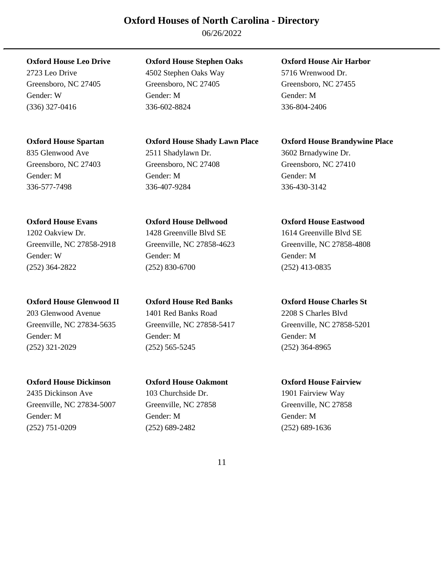06/26/2022

835 Glenwood Ave 2511 Shadylawn Dr. 3602 Brnadywine Dr.

Gender: W Gender: M Gender: M (252) 364-2822 (252) 830-6700 (252) 413-0835

# **Oxford House Glenwood II Oxford House Red Banks Oxford House Charles St**

203 Glenwood Avenue 1401 Red Banks Road 2208 S Charles Blvd Gender: M Gender: M Gender: M (252) 321-2029 (252) 565-5245 (252) 364-8965

# **Oxford House Dickinson Oxford House Oakmont Oxford House Fairview**

2435 Dickinson Ave 103 Churchside Dr. 1901 Fairview Way Greenville, NC 27834-5007 Greenville, NC 27858 Greenville, NC 27858 Gender: M Gender: M Gender: M (252) 751-0209 (252) 689-2482 (252) 689-1636

# **Oxford House Leo Drive Oxford House Stephen Oaks Oxford House Air Harbor**

2723 Leo Drive 4502 Stephen Oaks Way 5716 Wrenwood Dr. Greensboro, NC 27405 Greensboro, NC 27405 Greensboro, NC 27455 Gender: W Gender: M Gender: M (336) 327-0416 336-602-8824 336-804-2406

# **Oxford House Spartan Oxford House Shady Lawn Place Oxford House Brandywine Place**

Greensboro, NC 27403 Greensboro, NC 27408 Greensboro, NC 27410 Gender: M Gender: M Gender: M 336-577-7498 336-407-9284 336-430-3142

# 1202 Oakview Dr. 1428 Greenville Blvd SE 1614 Greenville Blvd SE

# **Oxford House Evans Oxford House Dellwood Oxford House Eastwood**

Greenville, NC 27858-2918 Greenville, NC 27858-4623 Greenville, NC 27858-4808

Greenville, NC 27834-5635 Greenville, NC 27858-5417 Greenville, NC 27858-5201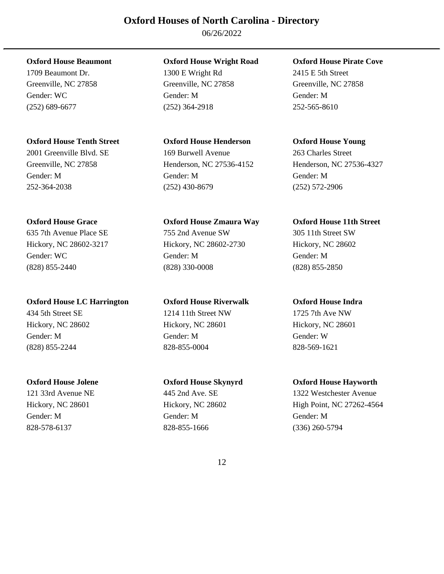06/26/2022

# **Oxford House Tenth Street Oxford House Henderson Oxford House Young**

2001 Greenville Blvd. SE 169 Burwell Avenue 263 Charles Street

(828) 855-2440 (828) 330-0008 (828) 855-2850

# **Oxford House LC Harrington Oxford House Riverwalk Oxford House Indra**

Gender: M Gender: M Gender: M 828-578-6137 828-855-1666 (336) 260-5794

# **Oxford House Beaumont Oxford House Wright Road Oxford House Pirate Cove**

1709 Beaumont Dr. 1300 E Wright Rd 2415 E 5th Street Greenville, NC 27858 Greenville, NC 27858 Greenville, NC 27858 Gender: WC Gender: M Gender: M (252) 689-6677 (252) 364-2918 252-565-8610

Gender: M Gender: M Gender: M 252-364-2038 (252) 430-8679 (252) 572-2906

# 635 7th Avenue Place SE 755 2nd Avenue SW 305 11th Street SW Hickory, NC 28602-3217 Hickory, NC 28602-2730 Hickory, NC 28602 Gender: WC Gender: M Gender: M

434 5th Street SE 1214 11th Street NW 1725 7th Ave NW Hickory, NC 28602 Hickory, NC 28601 Hickory, NC 28601 Gender: M Gender: M Gender: W (828) 855-2244 828-855-0004 828-569-1621

Greenville, NC 27858 Henderson, NC 27536-4152 Henderson, NC 27536-4327

# **Oxford House Grace Oxford House Zmaura Way Oxford House 11th Street**

# **Oxford House Jolene Oxford House Skynyrd Oxford House Hayworth**

121 33rd Avenue NE 445 2nd Ave. SE 1322 Westchester Avenue Hickory, NC 28601 Hickory, NC 28602 High Point, NC 27262-4564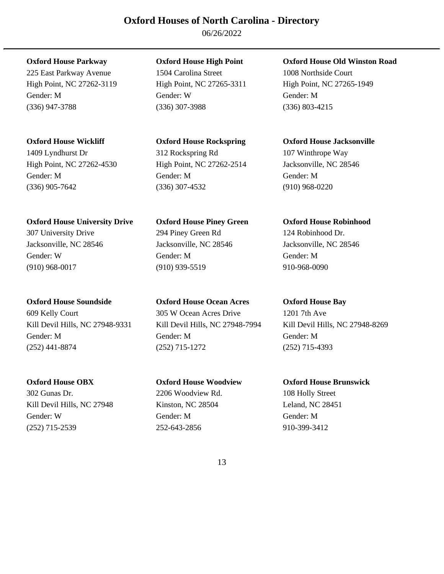06/26/2022

225 East Parkway Avenue 1504 Carolina Street 1008 Northside Court High Point, NC 27262-3119 High Point, NC 27265-3311 High Point, NC 27265-1949 Gender: M Gender: W Gender: M (336) 947-3788 (336) 307-3988 (336) 803-4215

**Oxford House University Drive Oxford House Piney Green Oxford House Robinhood** 

609 Kelly Court 305 W Ocean Acres Drive 1201 7th Ave

302 Gunas Dr. 2206 Woodview Rd. 108 Holly Street Kill Devil Hills, NC 27948 Kinston, NC 28504 Leland, NC 28451 Gender: W Gender: M Gender: M (252) 715-2539 252-643-2856 910-399-3412

1409 Lyndhurst Dr 312 Rockspring Rd 107 Winthrope Way High Point, NC 27262-4530 High Point, NC 27262-2514 Jacksonville, NC 28546 Gender: M Gender: M Gender: M (336) 905-7642 (336) 307-4532 (910) 968-0220

307 University Drive 294 Piney Green Rd 124 Robinhood Dr. Jacksonville, NC 28546 Jacksonville, NC 28546 Jacksonville, NC 28546 Gender: W Gender: M Gender: M (910) 968-0017 (910) 939-5519 910-968-0090

**Oxford House Soundside Oxford House Ocean Acres Oxford House Bay** 

Kill Devil Hills, NC 27948-9331 Kill Devil Hills, NC 27948-7994 Kill Devil Hills, NC 27948-8269 Gender: M Gender: M Gender: M (252) 441-8874 (252) 715-1272 (252) 715-4393

**Oxford House OBX Oxford House Woodview Oxford House Brunswick** 

**Oxford House Parkway Oxford House High Point Oxford House Old Winston Road** 

**Oxford House Wickliff Oxford House Rockspring Oxford House Jacksonville**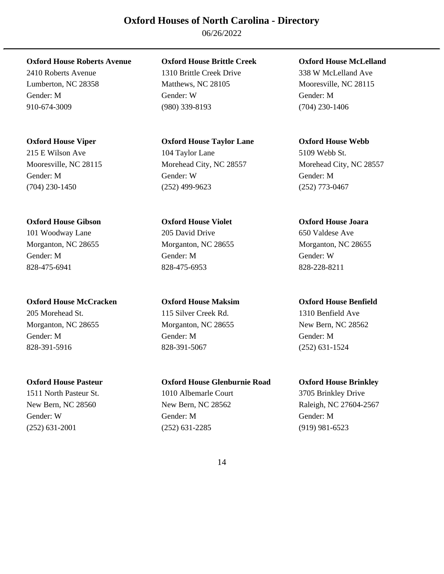06/26/2022

2410 Roberts Avenue 1310 Brittle Creek Drive 338 W McLelland Ave Lumberton, NC 28358 Matthews, NC 28105 Mooresville, NC 28115

**Oxford House Gibson Oxford House Violet Oxford House Joara** 

**Oxford House McCracken Oxford House Maksim Oxford House Benfield**  205 Morehead St. 115 Silver Creek Rd. 1310 Benfield Ave Morganton, NC 28655 Morganton, NC 28655 New Bern, NC 28562 Gender: M Gender: M Gender: M 828-391-5916 828-391-5067 (252) 631-1524

**Oxford House Roberts Avenue Oxford House Brittle Creek Oxford House McLelland** 

Gender: M Gender: W Gender: M 910-674-3009 (980) 339-8193 (704) 230-1406

**Oxford House Viper Oxford House Taylor Lane Oxford House Webb**  215 E Wilson Ave 104 Taylor Lane 5109 Webb St. Mooresville, NC 28115 Morehead City, NC 28557 Morehead City, NC 28557 Gender: M Gender: W Gender: M (704) 230-1450 (252) 499-9623 (252) 773-0467

101 Woodway Lane 205 David Drive 650 Valdese Ave Morganton, NC 28655 Morganton, NC 28655 Morganton, NC 28655 Gender: M Gender: M Gender: W 828-475-6941 828-475-6953 828-228-8211

**Oxford House Pasteur Oxford House Glenburnie Road Oxford House Brinkley**  1511 North Pasteur St. 1010 Albemarle Court 3705 Brinkley Drive New Bern, NC 28560 New Bern, NC 28562 Raleigh, NC 27604-2567 Gender: W Gender: M Gender: M (252) 631-2001 (252) 631-2285 (919) 981-6523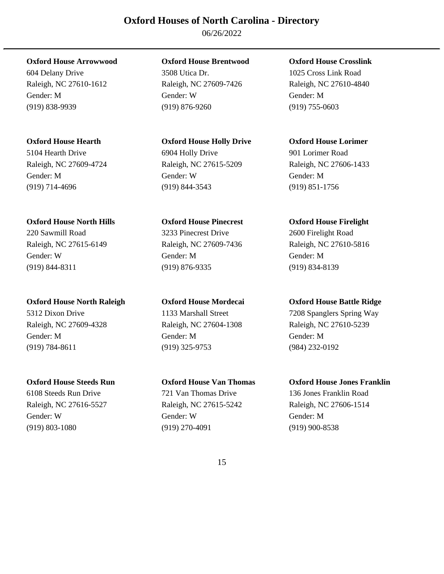06/26/2022

**Oxford House North Hills Oxford House Pinecrest Oxford House Firelight** 

**Oxford House North Raleigh Oxford House Mordecai Oxford House Battle Ridge**  5312 Dixon Drive 1133 Marshall Street 7208 Spanglers Spring Way Raleigh, NC 27609-4328 Raleigh, NC 27604-1308 Raleigh, NC 27610-5239 Gender: M Gender: M Gender: M (919) 784-8611 (919) 325-9753 (984) 232-0192

**Oxford House Arrowwood Oxford House Brentwood Oxford House Crosslink** 

604 Delany Drive 3508 Utica Dr. 1025 Cross Link Road Raleigh, NC 27610-1612 Raleigh, NC 27609-7426 Raleigh, NC 27610-4840 Gender: M Gender: W Gender: M (919) 838-9939 (919) 876-9260 (919) 755-0603

5104 Hearth Drive 6904 Holly Drive 901 Lorimer Road Raleigh, NC 27609-4724 Raleigh, NC 27615-5209 Raleigh, NC 27606-1433 Gender: M Gender: W Gender: M (919) 714-4696 (919) 844-3543 (919) 851-1756

220 Sawmill Road 3233 Pinecrest Drive 2600 Firelight Road Raleigh, NC 27615-6149 Raleigh, NC 27609-7436 Raleigh, NC 27610-5816 Gender: W Gender: M Gender: M (919) 844-8311 (919) 876-9335 (919) 834-8139

6108 Steeds Run Drive 721 Van Thomas Drive 136 Jones Franklin Road Raleigh, NC 27616-5527 Raleigh, NC 27615-5242 Raleigh, NC 27606-1514 Gender: W Gender: W Gender: M (919) 803-1080 (919) 270-4091 (919) 900-8538

**Oxford House Hearth Oxford House Holly Drive Oxford House Lorimer** 

**Oxford House Steeds Run Oxford House Van Thomas Oxford House Jones Franklin**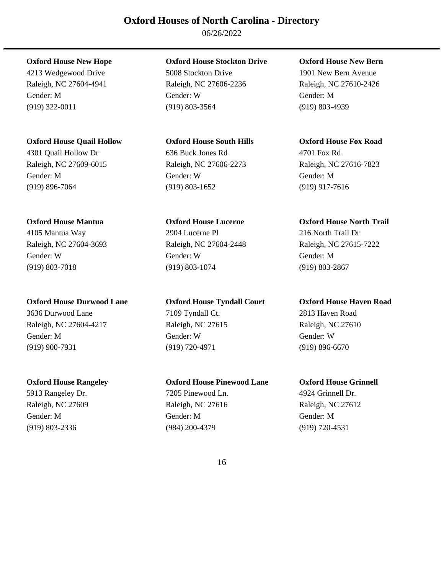06/26/2022

# **Oxford House Quail Hollow Oxford House South Hills Oxford House Fox Road**

Gender: M Gender: W Gender: M (919) 896-7064 (919) 803-1652 (919) 917-7616

Raleigh, NC 27604-3693 Raleigh, NC 27604-2448 Raleigh, NC 27615-7222 Gender: W Gender: W Gender: M (919) 803-7018 (919) 803-1074 (919) 803-2867

# **Oxford House Durwood Lane Oxford House Tyndall Court Oxford House Haven Road**

3636 Durwood Lane 7109 Tyndall Ct. 2813 Haven Road Raleigh, NC 27604-4217 Raleigh, NC 27615 Raleigh, NC 27610 Gender: M Gender: W Gender: W (919) 900-7931 (919) 720-4971 (919) 896-6670

5913 Rangeley Dr. 7205 Pinewood Ln. 4924 Grinnell Dr.

# **Oxford House New Hope Oxford House Stockton Drive Oxford House New Bern**

4213 Wedgewood Drive 5008 Stockton Drive 1901 New Bern Avenue Raleigh, NC 27604-4941 Raleigh, NC 27606-2236 Raleigh, NC 27610-2426 Gender: M Gender: W Gender: M (919) 322-0011 (919) 803-3564 (919) 803-4939

# 4301 Quail Hollow Dr 636 Buck Jones Rd 4701 Fox Rd Raleigh, NC 27609-6015 Raleigh, NC 27606-2273 Raleigh, NC 27616-7823

# 4105 Mantua Way 2904 Lucerne Pl 216 North Trail Dr

# **Oxford House Rangeley Oxford House Pinewood Lane Oxford House Grinnell**

Raleigh, NC 27609 Raleigh, NC 27616 Raleigh, NC 27612 Gender: M Gender: M Gender: M (919) 803-2336 (984) 200-4379 (919) 720-4531

# **Oxford House Mantua Oxford House Lucerne Oxford House North Trail**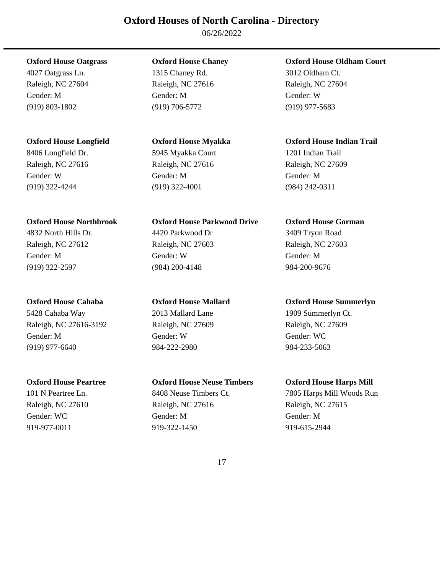06/26/2022

Raleigh, NC 27604 Raleigh, NC 27616 Raleigh, NC 27604 Gender: M Gender: M Gender: W (919) 803-1802 (919) 706-5772 (919) 977-5683

8406 Longfield Dr. 5945 Myakka Court 1201 Indian Trail Raleigh, NC 27616 Raleigh, NC 27616 Raleigh, NC 27609 Gender: W Gender: M Gender: M (919) 322-4244 (919) 322-4001 (984) 242-0311

5428 Cahaba Way 2013 Mallard Lane 1909 Summerlyn Ct. Raleigh, NC 27616-3192 Raleigh, NC 27609 Raleigh, NC 27609 Gender: M Gender: W Gender: W Gender: W Gender: W Gender: W Gender: W C (919) 977-6640 984-222-2980 984-233-5063

4027 Oatgrass Ln. 1315 Chaney Rd. 3012 Oldham Ct.

# **Oxford House Northbrook Oxford House Parkwood Drive Oxford House Gorman**

4832 North Hills Dr. 4420 Parkwood Dr 3409 Tryon Road Raleigh, NC 27612 Raleigh, NC 27603 Raleigh, NC 27603 Gender: M Gender: W Gender: M (919) 322-2597 (984) 200-4148 984-200-9676

# **Oxford House Peartree Oxford House Neuse Timbers Oxford House Harps Mill**

Raleigh, NC 27610 Raleigh, NC 27616 Raleigh, NC 27615 Gender: WC Gender: M Gender: M Gender: M Gender: M 919-977-0011 919-322-1450 919-615-2944

# **Oxford House Oatgrass Oxford House Chaney Oxford House Oldham Court**

# **Oxford House Longfield Oxford House Myakka Oxford House Indian Trail**

# **Oxford House Cahaba Oxford House Mallard Oxford House Summerlyn**

101 N Peartree Ln. 8408 Neuse Timbers Ct. 7805 Harps Mill Woods Run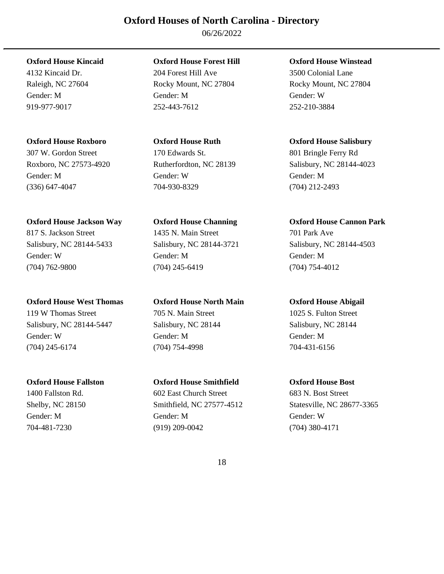06/26/2022

# **Oxford House Roxboro Oxford House Ruth Oxford House Salisbury**

Gender: M Gender: W Gender: M (336) 647-4047 704-930-8329 (704) 212-2493

# **Oxford House Jackson Way Oxford House Channing Oxford House Cannon Park**

# **Oxford House West Thomas Oxford House North Main Oxford House Abigail**

(704) 245-6174 (704) 754-4998 704-431-6156

# **Oxford House Kincaid Oxford House Forest Hill Oxford House Winstead**

4132 Kincaid Dr. 204 Forest Hill Ave 3500 Colonial Lane Raleigh, NC 27604 Rocky Mount, NC 27804 Rocky Mount, NC 27804 Gender: M Gender: M Gender: W 919-977-9017 252-443-7612 252-210-3884

# 307 W. Gordon Street 170 Edwards St. 801 Bringle Ferry Rd

817 S. Jackson Street 1435 N. Main Street 701 Park Ave Salisbury, NC 28144-5433 Salisbury, NC 28144-3721 Salisbury, NC 28144-4503 Gender: W Gender: M Gender: M (704) 762-9800 (704) 245-6419 (704) 754-4012

# 119 W Thomas Street 2005 N. Main Street 2005 S. Fulton Street Salisbury, NC 28144-5447 Salisbury, NC 28144 Salisbury, NC 28144 Gender: W Gender: M Gender: M

# **Oxford House Fallston Oxford House Smithfield Oxford House Bost**

1400 Fallston Rd. 602 East Church Street 683 N. Bost Street Gender: M Gender: M Gender: W 704-481-7230 (919) 209-0042 (704) 380-4171

Roxboro, NC 27573-4920 Rutherfordton, NC 28139 Salisbury, NC 28144-4023

Shelby, NC 28150 Smithfield, NC 27577-4512 Statesville, NC 28677-3365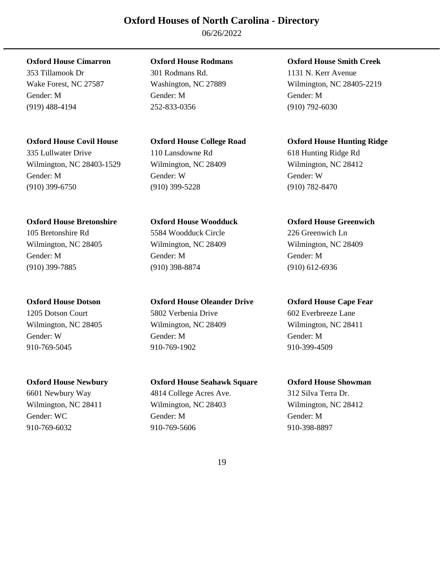06/26/2022

Gender: M Gender: M Gender: M (919) 488-4194 252-833-0356 (910) 792-6030

(910) 399-6750 (910) 399-5228 (910) 782-8470

# **Oxford House Bretonshire Oxford House Woodduck Oxford House Greenwich**

Gender: W Gender: M Gender: M 910-769-5045 910-769-1902 910-399-4509

353 Tillamook Dr 301 Rodmans Rd. 1131 N. Kerr Avenue

# 335 Lullwater Drive 110 Lansdowne Rd 618 Hunting Ridge Rd Wilmington, NC 28403-1529 Wilmington, NC 28409 Wilmington, NC 28412 Gender: M Gender: W Gender: W

105 Bretonshire Rd 5584 Woodduck Circle 226 Greenwich Ln Wilmington, NC 28405 Wilmington, NC 28409 Wilmington, NC 28409 Gender: M Gender: M Gender: M (910) 399-7885 (910) 398-8874 (910) 612-6936

1205 Dotson Court 5802 Verbenia Drive 602 Everbreeze Lane Wilmington, NC 28405 Wilmington, NC 28409 Wilmington, NC 28411

**Oxford House Newbury Oxford House Seahawk Square Oxford House Showman**  6601 Newbury Way 4814 College Acres Ave. 312 Silva Terra Dr. Wilmington, NC 28411 Wilmington, NC 28403 Wilmington, NC 28412 Gender: WC Gender: M Gender: M Gender: M Gender: M 910-769-6032 910-769-5606 910-398-8897

# **Oxford House Cimarron Oxford House Rodmans Oxford House Smith Creek**

Wake Forest, NC 27587 Washington, NC 27889 Wilmington, NC 28405-2219

# **Oxford House Covil House Oxford House College Road Oxford House Hunting Ridge**

# **Oxford House Dotson Oxford House Oleander Drive Oxford House Cape Fear**